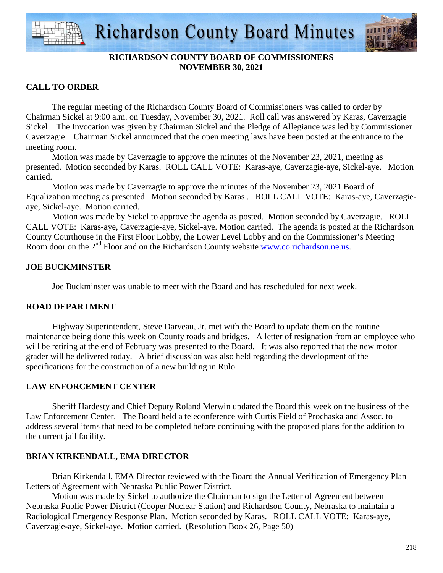



# **RICHARDSON COUNTY BOARD OF COMMISSIONERS NOVEMBER 30, 2021**

## **CALL TO ORDER**

 The regular meeting of the Richardson County Board of Commissioners was called to order by Chairman Sickel at 9:00 a.m. on Tuesday, November 30, 2021. Roll call was answered by Karas, Caverzagie Sickel. The Invocation was given by Chairman Sickel and the Pledge of Allegiance was led by Commissioner Caverzagie. Chairman Sickel announced that the open meeting laws have been posted at the entrance to the meeting room.

 Motion was made by Caverzagie to approve the minutes of the November 23, 2021, meeting as presented. Motion seconded by Karas. ROLL CALL VOTE: Karas-aye, Caverzagie-aye, Sickel-aye. Motion carried.

 Motion was made by Caverzagie to approve the minutes of the November 23, 2021 Board of Equalization meeting as presented. Motion seconded by Karas . ROLL CALL VOTE: Karas-aye, Caverzagieaye, Sickel-aye. Motion carried.

 Motion was made by Sickel to approve the agenda as posted. Motion seconded by Caverzagie. ROLL CALL VOTE: Karas-aye, Caverzagie-aye, Sickel-aye. Motion carried. The agenda is posted at the Richardson County Courthouse in the First Floor Lobby, the Lower Level Lobby and on the Commissioner's Meeting Room door on the 2<sup>nd</sup> Floor and on the Richardson County website www.co.richardson.ne.us.

### **JOE BUCKMINSTER**

Joe Buckminster was unable to meet with the Board and has rescheduled for next week.

### **ROAD DEPARTMENT**

 Highway Superintendent, Steve Darveau, Jr. met with the Board to update them on the routine maintenance being done this week on County roads and bridges. A letter of resignation from an employee who will be retiring at the end of February was presented to the Board. It was also reported that the new motor grader will be delivered today. A brief discussion was also held regarding the development of the specifications for the construction of a new building in Rulo.

### **LAW ENFORCEMENT CENTER**

 Sheriff Hardesty and Chief Deputy Roland Merwin updated the Board this week on the business of the Law Enforcement Center. The Board held a teleconference with Curtis Field of Prochaska and Assoc. to address several items that need to be completed before continuing with the proposed plans for the addition to the current jail facility.

### **BRIAN KIRKENDALL, EMA DIRECTOR**

 Brian Kirkendall, EMA Director reviewed with the Board the Annual Verification of Emergency Plan Letters of Agreement with Nebraska Public Power District.

 Motion was made by Sickel to authorize the Chairman to sign the Letter of Agreement between Nebraska Public Power District (Cooper Nuclear Station) and Richardson County, Nebraska to maintain a Radiological Emergency Response Plan. Motion seconded by Karas. ROLL CALL VOTE: Karas-aye, Caverzagie-aye, Sickel-aye. Motion carried. (Resolution Book 26, Page 50)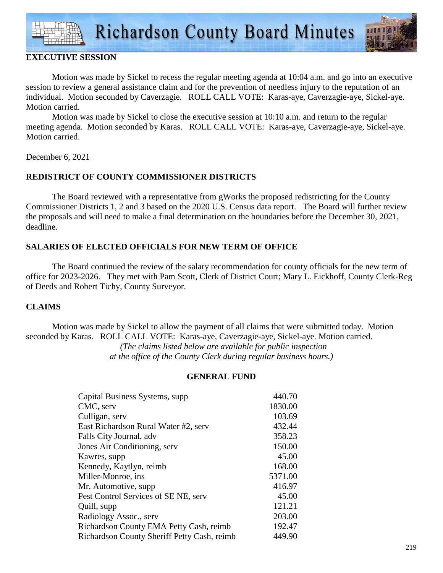

## **EXECUTIVE SESSION**

 Motion was made by Sickel to recess the regular meeting agenda at 10:04 a.m. and go into an executive session to review a general assistance claim and for the prevention of needless injury to the reputation of an individual. Motion seconded by Caverzagie. ROLL CALL VOTE: Karas-aye, Caverzagie-aye, Sickel-aye. Motion carried.

 Motion was made by Sickel to close the executive session at 10:10 a.m. and return to the regular meeting agenda. Motion seconded by Karas. ROLL CALL VOTE: Karas-aye, Caverzagie-aye, Sickel-aye. Motion carried.

December 6, 2021

# **REDISTRICT OF COUNTY COMMISSIONER DISTRICTS**

 The Board reviewed with a representative from gWorks the proposed redistricting for the County Commissioner Districts 1, 2 and 3 based on the 2020 U.S. Census data report. The Board will further review the proposals and will need to make a final determination on the boundaries before the December 30, 2021, deadline.

# **SALARIES OF ELECTED OFFICIALS FOR NEW TERM OF OFFICE**

 The Board continued the review of the salary recommendation for county officials for the new term of office for 2023-2026. They met with Pam Scott, Clerk of District Court; Mary L. Eickhoff, County Clerk-Reg of Deeds and Robert Tichy, County Surveyor.

# **CLAIMS**

Motion was made by Sickel to allow the payment of all claims that were submitted today. Motion seconded by Karas. ROLL CALL VOTE: Karas-aye, Caverzagie-aye, Sickel-aye. Motion carried. *(The claims listed below are available for public inspection at the office of the County Clerk during regular business hours.)* 

#### **GENERAL FUND**

| Capital Business Systems, supp.             | 440.70  |
|---------------------------------------------|---------|
| CMC, serv                                   | 1830.00 |
| Culligan, serv                              | 103.69  |
| East Richardson Rural Water #2, serv        | 432.44  |
| Falls City Journal, adv                     | 358.23  |
| Jones Air Conditioning, serv                | 150.00  |
| Kawres, supp.                               | 45.00   |
| Kennedy, Kaytlyn, reimb                     | 168.00  |
| Miller-Monroe, ins                          | 5371.00 |
| Mr. Automotive, supp.                       | 416.97  |
| Pest Control Services of SE NE, serv        | 45.00   |
| Quill, supp                                 | 121.21  |
| Radiology Assoc., serv                      | 203.00  |
| Richardson County EMA Petty Cash, reimb     | 192.47  |
| Richardson County Sheriff Petty Cash, reimb | 449.90  |
|                                             |         |